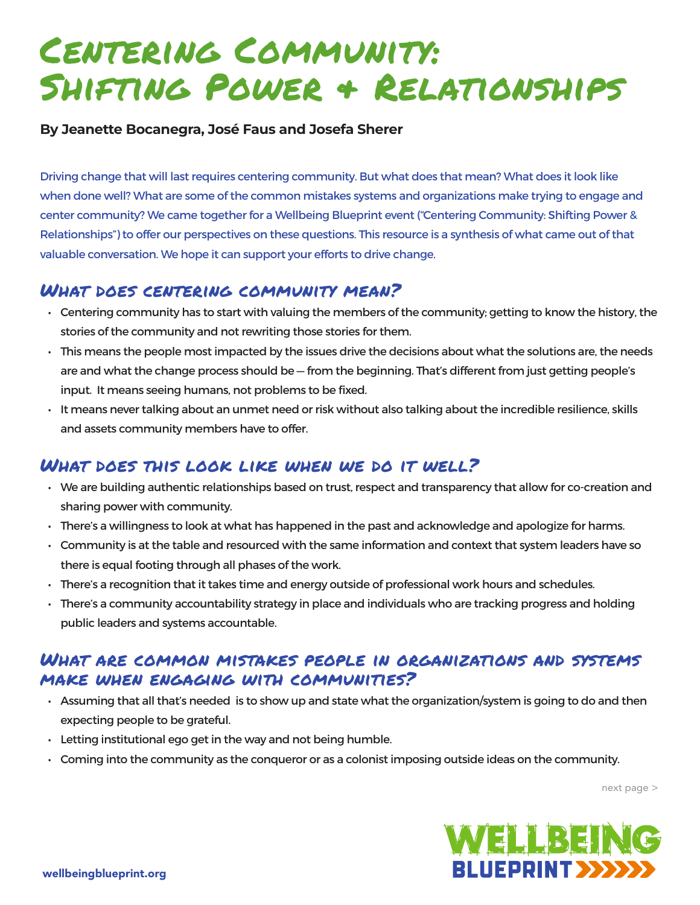# Centering Community: Shifting Power & Relationships

#### **By Jeanette Bocanegra, José Faus and Josefa Sherer**

Driving change that will last requires centering community. But what does that mean? What does it look like when done well? What are some of the common mistakes systems and organizations make trying to engage and center community? We came together for a Wellbeing Blueprint event ("Centering Community: Shifting Power & Relationships") to offer our perspectives on these questions. This resource is a synthesis of what came out of that valuable conversation. We hope it can support your efforts to drive change.

### What does centering community mean?

- Centering community has to start with valuing the members of the community; getting to know the history, the stories of the community and not rewriting those stories for them.
- This means the people most impacted by the issues drive the decisions about what the solutions are, the needs are and what the change process should be — from the beginning. That's different from just getting people's input. It means seeing humans, not problems to be fixed.
- $\cdot$  It means never talking about an unmet need or risk without also talking about the incredible resilience, skills and assets community members have to offer.

# What does this look like when we do it well?

- We are building authentic relationships based on trust, respect and transparency that allow for co-creation and sharing power with community.
- There's a willingness to look at what has happened in the past and acknowledge and apologize for harms.
- Community is at the table and resourced with the same information and context that system leaders have so there is equal footing through all phases of the work.
- There's a recognition that it takes time and energy outside of professional work hours and schedules.
- There's a community accountability strategy in place and individuals who are tracking progress and holding public leaders and systems accountable.

### What are common mistakes people in organizations and systems make when engaging with communities?

- Assuming that all that's needed is to show up and state what the organization/system is going to do and then expecting people to be grateful.
- Letting institutional ego get in the way and not being humble.
- Coming into the community as the conqueror or as a colonist imposing outside ideas on the community.

next page >